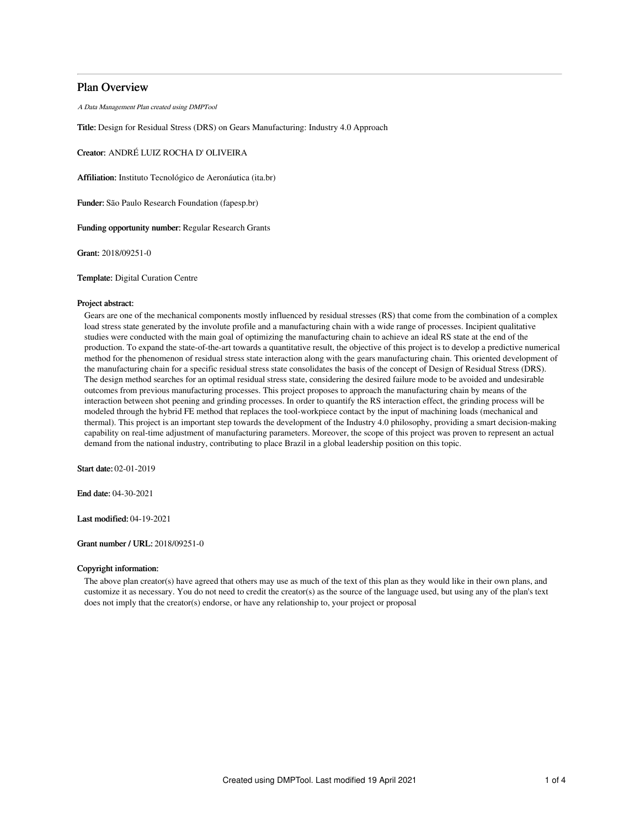# Plan Overview

A Data Management Plan created using DMPTool

Title: Design for Residual Stress (DRS) on Gears Manufacturing: Industry 4.0 Approach

Creator: ANDRÉ LUIZ ROCHA D' OLIVEIRA

Affiliation: Instituto Tecnológico de Aeronáutica (ita.br)

Funder: São Paulo Research Foundation (fapesp.br)

Funding opportunity number: Regular Research Grants

Grant: 2018/09251-0

Template: Digital Curation Centre

## Project abstract:

Gears are one of the mechanical components mostly influenced by residual stresses (RS) that come from the combination of a complex load stress state generated by the involute profile and a manufacturing chain with a wide range of processes. Incipient qualitative studies were conducted with the main goal of optimizing the manufacturing chain to achieve an ideal RS state at the end of the production. To expand the state-of-the-art towards a quantitative result, the objective of this project is to develop a predictive numerical method for the phenomenon of residual stress state interaction along with the gears manufacturing chain. This oriented development of the manufacturing chain for a specific residual stress state consolidates the basis of the concept of Design of Residual Stress (DRS). The design method searches for an optimal residual stress state, considering the desired failure mode to be avoided and undesirable outcomes from previous manufacturing processes. This project proposes to approach the manufacturing chain by means of the interaction between shot peening and grinding processes. In order to quantify the RS interaction effect, the grinding process will be modeled through the hybrid FE method that replaces the tool-workpiece contact by the input of machining loads (mechanical and thermal). This project is an important step towards the development of the Industry 4.0 philosophy, providing a smart decision-making capability on real-time adjustment of manufacturing parameters. Moreover, the scope of this project was proven to represent an actual demand from the national industry, contributing to place Brazil in a global leadership position on this topic.

Start date: 02-01-2019

End date: 04-30-2021

Last modified: 04-19-2021

## Grant number / URL: 2018/09251-0

## Copyright information:

The above plan creator(s) have agreed that others may use as much of the text of this plan as they would like in their own plans, and customize it as necessary. You do not need to credit the creator(s) as the source of the language used, but using any of the plan's text does not imply that the creator(s) endorse, or have any relationship to, your project or proposal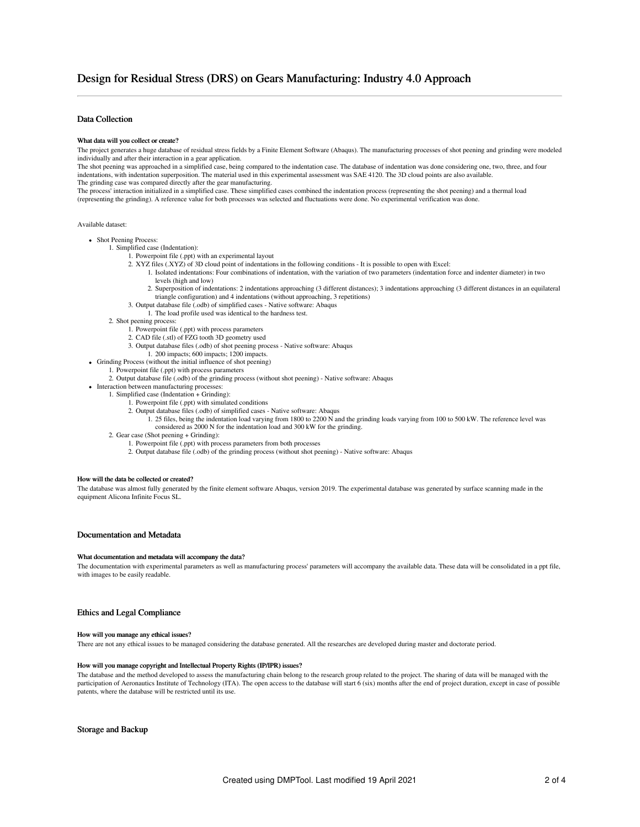# Data Collection

#### What data will you collect or create?

The project generates a huge database of residual stress fields by a Finite Element Software (Abaqus). The manufacturing processes of shot peening and grinding were modeled individually and after their interaction in a gear application.

The shot peening was approached in a simplified case, being compared to the indentation case. The database of indentation was done considering one, two, three, and four indentations, with indentation superposition. The material used in this experimental assessment was SAE 4120. The 3D cloud points are also available. The grinding case was compared directly after the gear manufacturing.

The process' interaction initialized in a simplified case. These simplified cases combined the indentation process (representing the shot peening) and a thermal load (representing the grinding). A reference value for both processes was selected and fluctuations were done. No experimental verification was done.

#### Available dataset:

- Shot Peening Process:
	- 1. Simplified case (Indentation):
		- 1. Powerpoint file (.ppt) with an experimental layout
			- 2. XYZ files (.XYZ) of 3D cloud point of indentations in the following conditions It is possible to open with Excel:
				- 1. Isolated indentations: Four combinations of indentation, with the variation of two parameters (indentation force and indenter diameter) in two levels (high and low)
				- 2. Superposition of indentations: 2 indentations approaching (3 different distances); 3 indentations approaching (3 different distances in an equilateral triangle configuration) and 4 indentations (without approaching, 3 repetitions)
			- 3. Output database file (.odb) of simplified cases Native software: Abaqus
				- 1. The load profile used was identical to the hardness test.
		- 2. Shot peening process:
			- 1. Powerpoint file (.ppt) with process parameters
			- 2. CAD file (.stl) of FZG tooth 3D geometry used
			- 3. Output database files (.odb) of shot peening process Native software: Abaqus
		- 1. 200 impacts; 600 impacts; 1200 impacts.
- Grinding Process (without the initial influence of shot peening)
	- 1. Powerpoint file (.ppt) with process parameters
	- 2. Output database file (.odb) of the grinding process (without shot peening) Native software: Abaqus
- Interaction between manufacturing processes:
	- 1. Simplified case (Indentation + Grinding): 1. Powerpoint file (.ppt) with simulated conditions
		- 2. Output database files (.odb) of simplified cases Native software: Abaqus
			- 1. 25 files, being the indentation load varying from 1800 to 2200 N and the grinding loads varying from 100 to 500 kW. The reference level was considered as 2000 N for the indentation load and 300 kW for the grinding.
	- 2. Gear case (Shot peening + Grinding):
		- 1. Powerpoint file (.ppt) with process parameters from both processes
			- 2. Output database file (.odb) of the grinding process (without shot peening) Native software: Abaqus

#### How will the data be collected or created?

The database was almost fully generated by the finite element software Abaqus, version 2019. The experimental database was generated by surface scanning made in the equipment Alicona Infinite Focus SL.

# Documentation and Metadata

#### What documentation and metadata will accompany the data?

The documentation with experimental parameters as well as manufacturing process' parameters will accompany the available data. These data will be consolidated in a ppt file, with images to be easily readable.

## Ethics and Legal Compliance

#### How will you manage any ethical issues?

There are not any ethical issues to be managed considering the database generated. All the researches are developed during master and doctorate period.

#### How will you manage copyright and Intellectual Property Rights (IP/IPR) issues?

The database and the method developed to assess the manufacturing chain belong to the research group related to the project. The sharing of data will be managed with the participation of Aeronautics Institute of Technology (ITA). The open access to the database will start 6 (six) months after the end of project duration, except in case of possible patents, where the database will be restricted until its use.

#### Storage and Backup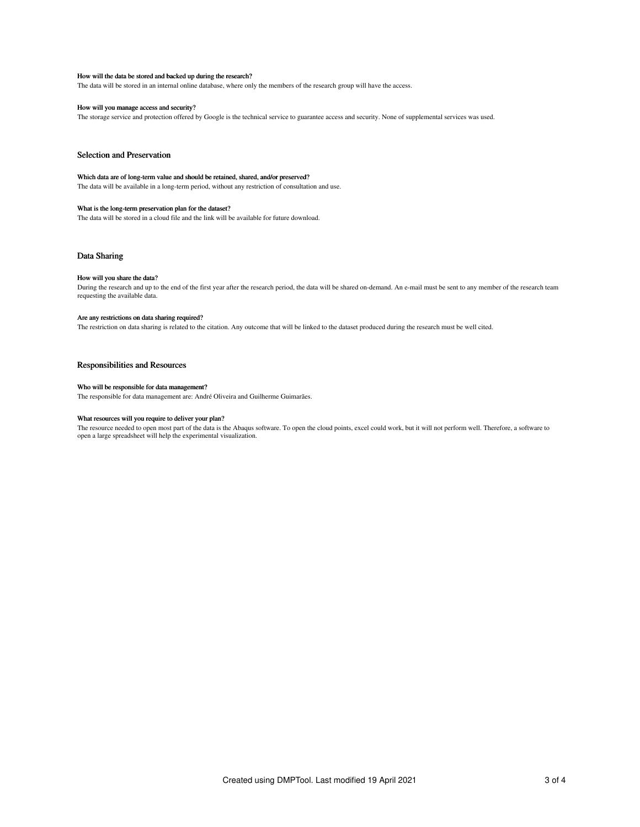#### How will the data be stored and backed up during the research?

The data will be stored in an internal online database, where only the members of the research group will have the access.

### How will you manage access and security?

The storage service and protection offered by Google is the technical service to guarantee access and security. None of supplemental services was used.

# Selection and Preservation

#### Which data are of long-term value and should be retained, shared, and/or preserved?

The data will be available in a long-term period, without any restriction of consultation and use.

## What is the long-term preservation plan for the dataset?

The data will be stored in a cloud file and the link will be available for future download.

### Data Sharing

#### How will you share the data?

During the research and up to the end of the first year after the research period, the data will be shared on-demand. An e-mail must be sent to any member of the research team requesting the available data.

#### Are any restrictions on data sharing required?

The restriction on data sharing is related to the citation. Any outcome that will be linked to the dataset produced during the research must be well cited.

# Responsibilities and Resources

#### Who will be responsible for data management?

The responsible for data management are: André Oliveira and Guilherme Guimarães.

# What resources will you require to deliver your plan?

The resource needed to open most part of the data is the Abaqus software. To open the cloud points, excel could work, but it will not perform well. Therefore, a software to open a large spreadsheet will help the experimental visualization.